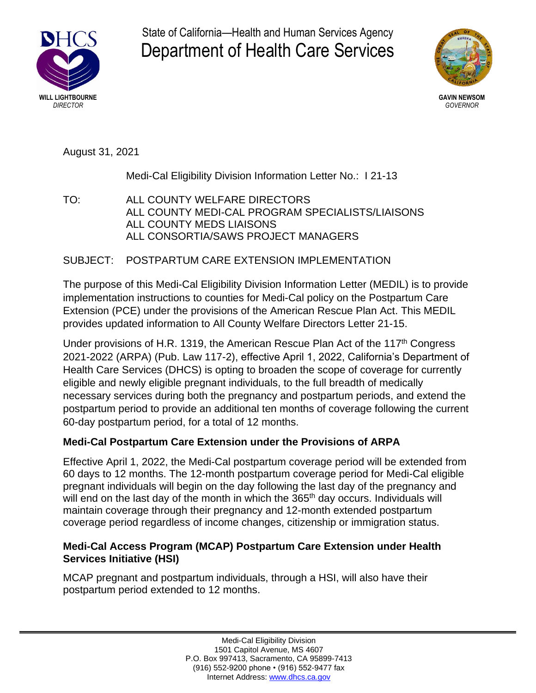

State of California—Health and Human Services Agency Department of Health Care Services



August 31, 2021

Medi-Cal Eligibility Division Information Letter No.: I 21-13

TO: ALL COUNTY WELFARE DIRECTORS ALL COUNTY MEDI-CAL PROGRAM SPECIALISTS/LIAISONS ALL COUNTY MEDS LIAISONS ALL CONSORTIA/SAWS PROJECT MANAGERS

# SUBJECT: POSTPARTUM CARE EXTENSION IMPLEMENTATION

The purpose of this Medi-Cal Eligibility Division Information Letter (MEDIL) is to provide implementation instructions to counties for Medi-Cal policy on the Postpartum Care Extension (PCE) under the provisions of the American Rescue Plan Act. This MEDIL provides updated information to All County Welfare Directors Letter 21-15.

Under provisions of H.R. 1319, the American Rescue Plan Act of the 117<sup>th</sup> Congress 2021-2022 (ARPA) (Pub. Law 117-2), effective April 1, 2022, California's Department of Health Care Services (DHCS) is opting to broaden the scope of coverage for currently eligible and newly eligible pregnant individuals, to the full breadth of medically necessary services during both the pregnancy and postpartum periods, and extend the postpartum period to provide an additional ten months of coverage following the current 60-day postpartum period, for a total of 12 months.

# **Medi-Cal Postpartum Care Extension under the Provisions of ARPA**

Effective April 1, 2022, the Medi-Cal postpartum coverage period will be extended from 60 days to 12 months. The 12-month postpartum coverage period for Medi-Cal eligible pregnant individuals will begin on the day following the last day of the pregnancy and will end on the last day of the month in which the 365<sup>th</sup> day occurs. Individuals will maintain coverage through their pregnancy and 12-month extended postpartum coverage period regardless of income changes, citizenship or immigration status.

### **Medi-Cal Access Program (MCAP) Postpartum Care Extension under Health Services Initiative (HSI)**

MCAP pregnant and postpartum individuals, through a HSI, will also have their postpartum period extended to 12 months.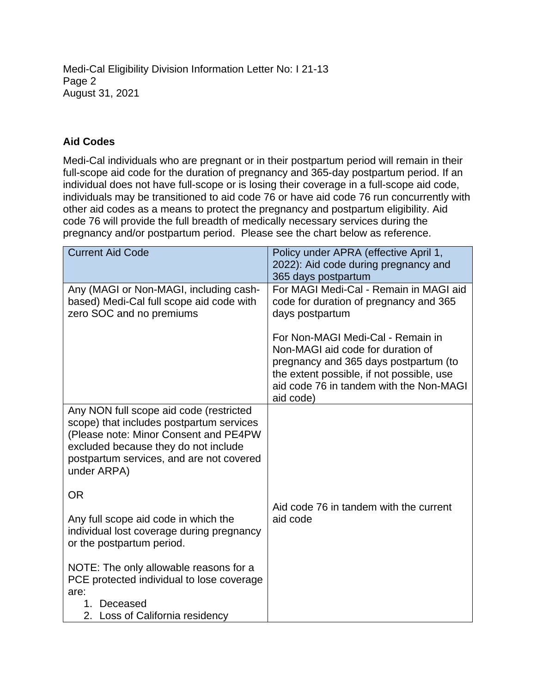Medi-Cal Eligibility Division Information Letter No: I 21-13 Page 2 August 31, 2021

### **Aid Codes**

Medi-Cal individuals who are pregnant or in their postpartum period will remain in their full-scope aid code for the duration of pregnancy and 365-day postpartum period. If an individual does not have full-scope or is losing their coverage in a full-scope aid code, individuals may be transitioned to aid code 76 or have aid code 76 run concurrently with other aid codes as a means to protect the pregnancy and postpartum eligibility. Aid code 76 will provide the full breadth of medically necessary services during the pregnancy and/or postpartum period. Please see the chart below as reference.

| <b>Current Aid Code</b>                                                                                                                                                                                                         | Policy under APRA (effective April 1,<br>2022): Aid code during pregnancy and<br>365 days postpartum                                                                                                                 |
|---------------------------------------------------------------------------------------------------------------------------------------------------------------------------------------------------------------------------------|----------------------------------------------------------------------------------------------------------------------------------------------------------------------------------------------------------------------|
| Any (MAGI or Non-MAGI, including cash-<br>based) Medi-Cal full scope aid code with<br>zero SOC and no premiums                                                                                                                  | For MAGI Medi-Cal - Remain in MAGI aid<br>code for duration of pregnancy and 365<br>days postpartum                                                                                                                  |
|                                                                                                                                                                                                                                 | For Non-MAGI Medi-Cal - Remain in<br>Non-MAGI aid code for duration of<br>pregnancy and 365 days postpartum (to<br>the extent possible, if not possible, use<br>aid code 76 in tandem with the Non-MAGI<br>aid code) |
| Any NON full scope aid code (restricted<br>scope) that includes postpartum services<br>(Please note: Minor Consent and PE4PW<br>excluded because they do not include<br>postpartum services, and are not covered<br>under ARPA) |                                                                                                                                                                                                                      |
| <b>OR</b><br>Any full scope aid code in which the<br>individual lost coverage during pregnancy<br>or the postpartum period.                                                                                                     | Aid code 76 in tandem with the current<br>aid code                                                                                                                                                                   |
| NOTE: The only allowable reasons for a<br>PCE protected individual to lose coverage<br>are:<br>Deceased<br>$1_{-}$<br>2. Loss of California residency                                                                           |                                                                                                                                                                                                                      |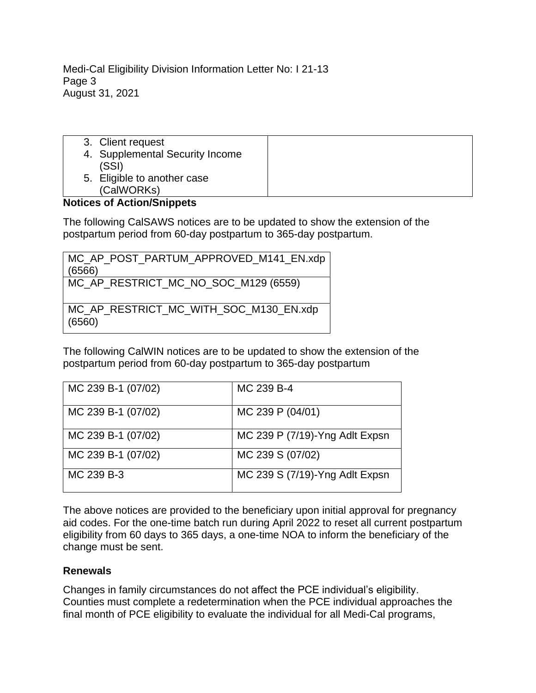Medi-Cal Eligibility Division Information Letter No: I 21-13 Page 3 August 31, 2021

3. Client request 4. Supplemental Security Income (SSI) 5. Eligible to another case (CalWORKs)

# **Notices of Action/Snippets**

The following CalSAWS notices are to be updated to show the extension of the postpartum period from 60-day postpartum to 365-day postpartum.

| MC_AP_POST_PARTUM_APPROVED_M141_EN.xdp           |
|--------------------------------------------------|
| (6566)                                           |
| MC_AP_RESTRICT_MC_NO_SOC_M129 (6559)             |
| MC_AP_RESTRICT_MC_WITH_SOC_M130_EN.xdp<br>(6560) |

The following CalWIN notices are to be updated to show the extension of the postpartum period from 60-day postpartum to 365-day postpartum

| MC 239 B-1 (07/02) | MC 239 B-4                     |
|--------------------|--------------------------------|
| MC 239 B-1 (07/02) | MC 239 P (04/01)               |
| MC 239 B-1 (07/02) | MC 239 P (7/19)-Yng Adlt Expsn |
| MC 239 B-1 (07/02) | MC 239 S (07/02)               |
| MC 239 B-3         | MC 239 S (7/19)-Yng Adlt Expsn |

The above notices are provided to the beneficiary upon initial approval for pregnancy aid codes. For the one-time batch run during April 2022 to reset all current postpartum eligibility from 60 days to 365 days, a one-time NOA to inform the beneficiary of the change must be sent.

#### **Renewals**

Changes in family circumstances do not affect the PCE individual's eligibility. Counties must complete a redetermination when the PCE individual approaches the final month of PCE eligibility to evaluate the individual for all Medi-Cal programs,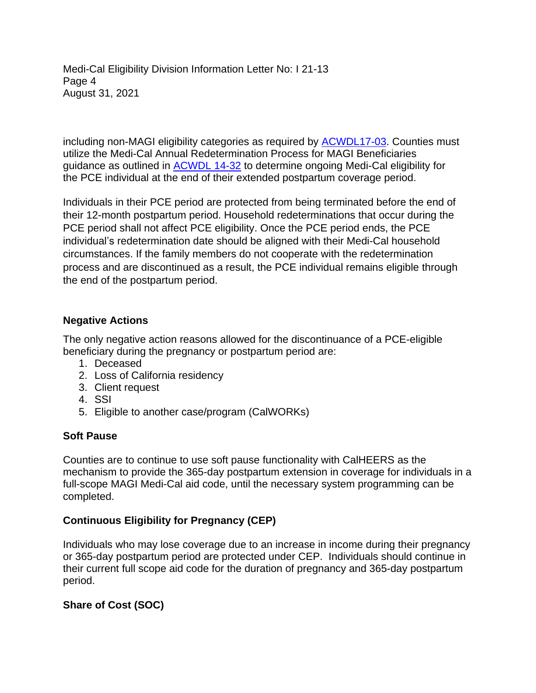Medi-Cal Eligibility Division Information Letter No: I 21-13 Page 4 August 31, 2021

including non-MAGI eligibility categories as required by [ACWDL17-03.](https://www.dhcs.ca.gov/services/medi-cal/eligibility/letters/Documents/c17-03.pdf) Counties must utilize the Medi-Cal Annual Redetermination Process for MAGI Beneficiaries guidance as outlined in **[ACWDL 14-32](https://www.dhcs.ca.gov/services/medi-cal/eligibility/letters/Documents/c14-32.pdf)** to determine ongoing Medi-Cal eligibility for the PCE individual at the end of their extended postpartum coverage period.

Individuals in their PCE period are protected from being terminated before the end of their 12-month postpartum period. Household redeterminations that occur during the PCE period shall not affect PCE eligibility. Once the PCE period ends, the PCE individual's redetermination date should be aligned with their Medi-Cal household circumstances. If the family members do not cooperate with the redetermination process and are discontinued as a result, the PCE individual remains eligible through the end of the postpartum period.

#### **Negative Actions**

The only negative action reasons allowed for the discontinuance of a PCE-eligible beneficiary during the pregnancy or postpartum period are:

- 1. Deceased
- 2. Loss of California residency
- 3. Client request
- 4. SSI
- 5. Eligible to another case/program (CalWORKs)

### **Soft Pause**

Counties are to continue to use soft pause functionality with CalHEERS as the mechanism to provide the 365-day postpartum extension in coverage for individuals in a full-scope MAGI Medi-Cal aid code, until the necessary system programming can be completed.

### **Continuous Eligibility for Pregnancy (CEP)**

Individuals who may lose coverage due to an increase in income during their pregnancy or 365-day postpartum period are protected under CEP. Individuals should continue in their current full scope aid code for the duration of pregnancy and 365-day postpartum period.

### **Share of Cost (SOC)**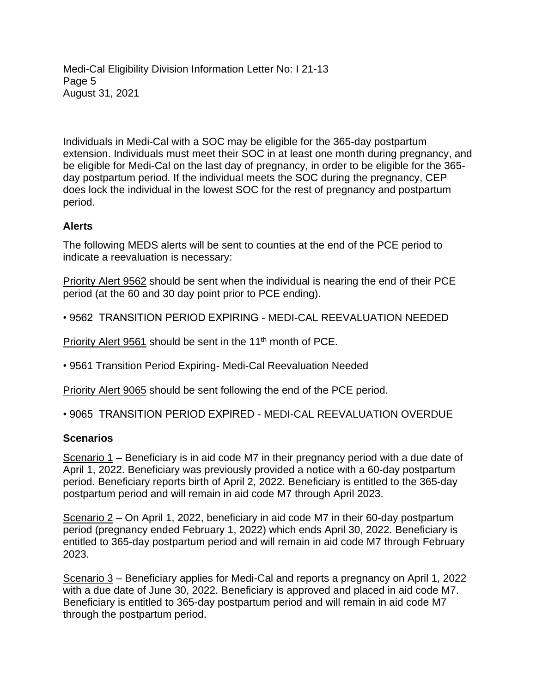Medi-Cal Eligibility Division Information Letter No: I 21-13 Page 5 August 31, 2021

Individuals in Medi-Cal with a SOC may be eligible for the 365-day postpartum extension. Individuals must meet their SOC in at least one month during pregnancy, and be eligible for Medi-Cal on the last day of pregnancy, in order to be eligible for the 365 day postpartum period. If the individual meets the SOC during the pregnancy, CEP does lock the individual in the lowest SOC for the rest of pregnancy and postpartum period.

### **Alerts**

The following MEDS alerts will be sent to counties at the end of the PCE period to indicate a reevaluation is necessary:

Priority Alert 9562 should be sent when the individual is nearing the end of their PCE period (at the 60 and 30 day point prior to PCE ending).

• 9562 TRANSITION PERIOD EXPIRING - MEDI-CAL REEVALUATION NEEDED

Priority Alert 9561 should be sent in the 11<sup>th</sup> month of PCE.

• 9561 Transition Period Expiring- Medi-Cal Reevaluation Needed

Priority Alert 9065 should be sent following the end of the PCE period.

• 9065 TRANSITION PERIOD EXPIRED - MEDI-CAL REEVALUATION OVERDUE

### **Scenarios**

Scenario 1 – Beneficiary is in aid code M7 in their pregnancy period with a due date of April 1, 2022. Beneficiary was previously provided a notice with a 60-day postpartum period. Beneficiary reports birth of April 2, 2022. Beneficiary is entitled to the 365-day postpartum period and will remain in aid code M7 through April 2023.

Scenario 2 – On April 1, 2022, beneficiary in aid code M7 in their 60-day postpartum period (pregnancy ended February 1, 2022) which ends April 30, 2022. Beneficiary is entitled to 365-day postpartum period and will remain in aid code M7 through February 2023.

Scenario 3 – Beneficiary applies for Medi-Cal and reports a pregnancy on April 1, 2022 with a due date of June 30, 2022. Beneficiary is approved and placed in aid code M7. Beneficiary is entitled to 365-day postpartum period and will remain in aid code M7 through the postpartum period.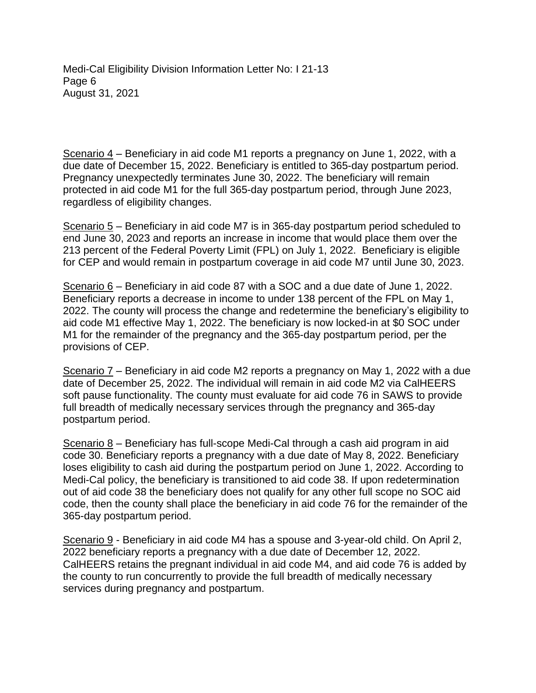Medi-Cal Eligibility Division Information Letter No: I 21-13 Page 6 August 31, 2021

Scenario 4 – Beneficiary in aid code M1 reports a pregnancy on June 1, 2022, with a due date of December 15, 2022. Beneficiary is entitled to 365-day postpartum period. Pregnancy unexpectedly terminates June 30, 2022. The beneficiary will remain protected in aid code M1 for the full 365-day postpartum period, through June 2023, regardless of eligibility changes.

Scenario 5 – Beneficiary in aid code M7 is in 365-day postpartum period scheduled to end June 30, 2023 and reports an increase in income that would place them over the 213 percent of the Federal Poverty Limit (FPL) on July 1, 2022. Beneficiary is eligible for CEP and would remain in postpartum coverage in aid code M7 until June 30, 2023.

Scenario 6 – Beneficiary in aid code 87 with a SOC and a due date of June 1, 2022. Beneficiary reports a decrease in income to under 138 percent of the FPL on May 1, 2022. The county will process the change and redetermine the beneficiary's eligibility to aid code M1 effective May 1, 2022. The beneficiary is now locked-in at \$0 SOC under M1 for the remainder of the pregnancy and the 365-day postpartum period, per the provisions of CEP.

Scenario 7 – Beneficiary in aid code M2 reports a pregnancy on May 1, 2022 with a due date of December 25, 2022. The individual will remain in aid code M2 via CalHEERS soft pause functionality. The county must evaluate for aid code 76 in SAWS to provide full breadth of medically necessary services through the pregnancy and 365-day postpartum period.

Scenario 8 - Beneficiary has full-scope Medi-Cal through a cash aid program in aid code 30. Beneficiary reports a pregnancy with a due date of May 8, 2022. Beneficiary loses eligibility to cash aid during the postpartum period on June 1, 2022. According to Medi-Cal policy, the beneficiary is transitioned to aid code 38. If upon redetermination out of aid code 38 the beneficiary does not qualify for any other full scope no SOC aid code, then the county shall place the beneficiary in aid code 76 for the remainder of the 365-day postpartum period.

Scenario 9 - Beneficiary in aid code M4 has a spouse and 3-year-old child. On April 2, 2022 beneficiary reports a pregnancy with a due date of December 12, 2022. CalHEERS retains the pregnant individual in aid code M4, and aid code 76 is added by the county to run concurrently to provide the full breadth of medically necessary services during pregnancy and postpartum.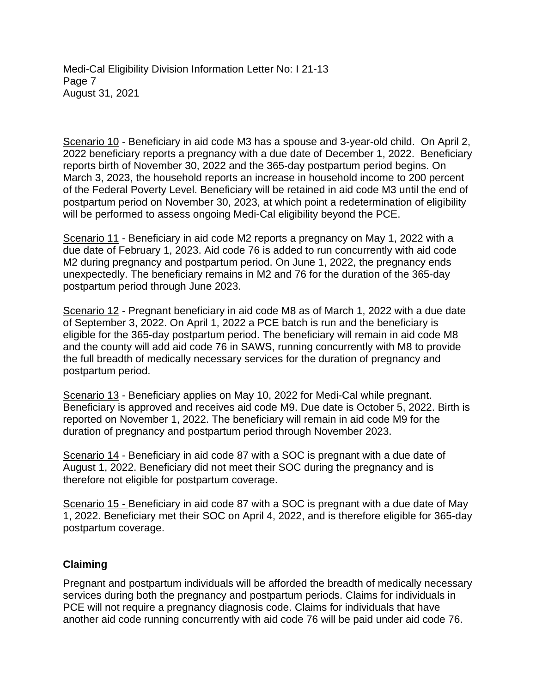Medi-Cal Eligibility Division Information Letter No: I 21-13 Page 7 August 31, 2021

Scenario 10 - Beneficiary in aid code M3 has a spouse and 3-year-old child. On April 2, 2022 beneficiary reports a pregnancy with a due date of December 1, 2022. Beneficiary reports birth of November 30, 2022 and the 365-day postpartum period begins. On March 3, 2023, the household reports an increase in household income to 200 percent of the Federal Poverty Level. Beneficiary will be retained in aid code M3 until the end of postpartum period on November 30, 2023, at which point a redetermination of eligibility will be performed to assess ongoing Medi-Cal eligibility beyond the PCE.

Scenario 11 - Beneficiary in aid code M2 reports a pregnancy on May 1, 2022 with a due date of February 1, 2023. Aid code 76 is added to run concurrently with aid code M2 during pregnancy and postpartum period. On June 1, 2022, the pregnancy ends unexpectedly. The beneficiary remains in M2 and 76 for the duration of the 365-day postpartum period through June 2023.

Scenario 12 - Pregnant beneficiary in aid code M8 as of March 1, 2022 with a due date of September 3, 2022. On April 1, 2022 a PCE batch is run and the beneficiary is eligible for the 365-day postpartum period. The beneficiary will remain in aid code M8 and the county will add aid code 76 in SAWS, running concurrently with M8 to provide the full breadth of medically necessary services for the duration of pregnancy and postpartum period.

Scenario 13 - Beneficiary applies on May 10, 2022 for Medi-Cal while pregnant. Beneficiary is approved and receives aid code M9. Due date is October 5, 2022. Birth is reported on November 1, 2022. The beneficiary will remain in aid code M9 for the duration of pregnancy and postpartum period through November 2023.

Scenario 14 - Beneficiary in aid code 87 with a SOC is pregnant with a due date of August 1, 2022. Beneficiary did not meet their SOC during the pregnancy and is therefore not eligible for postpartum coverage.

Scenario 15 - Beneficiary in aid code 87 with a SOC is pregnant with a due date of May 1, 2022. Beneficiary met their SOC on April 4, 2022, and is therefore eligible for 365-day postpartum coverage.

#### **Claiming**

Pregnant and postpartum individuals will be afforded the breadth of medically necessary services during both the pregnancy and postpartum periods. Claims for individuals in PCE will not require a pregnancy diagnosis code. Claims for individuals that have another aid code running concurrently with aid code 76 will be paid under aid code 76.